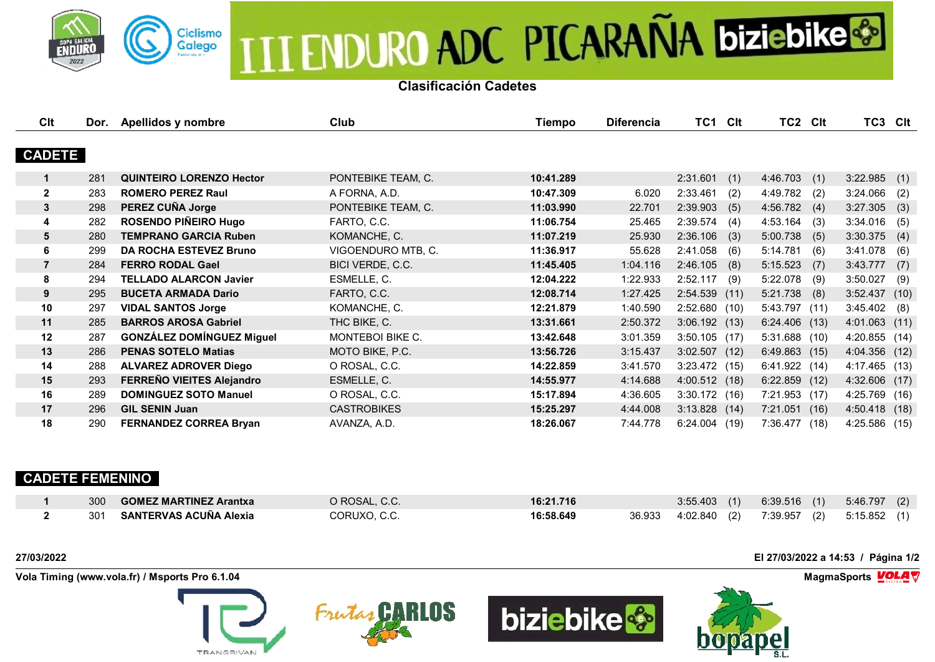

## **III ENDURO ADC PICARAÑA biziebike +**

## **Clasificación Cadetes**

| Clt            | Dor. | Apellidos y nombre               | Club                    | <b>Tiempo</b> | <b>Diferencia</b> | TC1 Clt         |      | TC2 Clt         |     | TC3 CIt         |      |
|----------------|------|----------------------------------|-------------------------|---------------|-------------------|-----------------|------|-----------------|-----|-----------------|------|
|                |      |                                  |                         |               |                   |                 |      |                 |     |                 |      |
| <b>CADETE</b>  |      |                                  |                         |               |                   |                 |      |                 |     |                 |      |
| $\mathbf 1$    | 281  | <b>QUINTEIRO LORENZO Hector</b>  | PONTEBIKE TEAM, C.      | 10:41.289     |                   | 2:31.601        | (1)  | 4:46.703        | (1) | 3:22.985        | (1)  |
| $\mathbf{2}$   | 283  | <b>ROMERO PEREZ Raul</b>         | A FORNA, A.D.           | 10:47.309     | 6.020             | 2:33.461        | (2)  | 4:49.782        | (2) | 3:24.066        | (2)  |
| $\mathbf{3}$   | 298  | PEREZ CUÑA Jorge                 | PONTEBIKE TEAM, C.      | 11:03.990     | 22.701            | 2:39.903        | (5)  | 4:56.782        | (4) | 3:27.305        | (3)  |
| 4              | 282  | ROSENDO PIÑEIRO Hugo             | FARTO, C.C.             | 11:06.754     | 25.465            | 2:39.574        | (4)  | 4:53.164        | (3) | 3:34.016        | (5)  |
| 5              | 280  | <b>TEMPRANO GARCIA Ruben</b>     | KOMANCHE, C.            | 11:07.219     | 25.930            | 2:36.106        | (3)  | 5:00.738        | (5) | 3:30.375        | (4)  |
| 6              | 299  | <b>DA ROCHA ESTEVEZ Bruno</b>    | VIGOENDURO MTB, C.      | 11:36.917     | 55.628            | 2:41.058        | (6)  | 5:14.781        | (6) | 3:41.078        | (6)  |
| $\overline{7}$ | 284  | <b>FERRO RODAL Gael</b>          | BICI VERDE, C.C.        | 11:45.405     | 1:04.116          | 2:46.105        | (8)  | 5:15.523        | (7) | 3:43.777        | (7)  |
| 8              | 294  | <b>TELLADO ALARCON Javier</b>    | ESMELLE, C.             | 12:04.222     | 1:22.933          | 2:52.117        | (9)  | 5:22.078        | (9) | 3:50.027        | (9)  |
| 9              | 295  | <b>BUCETA ARMADA Dario</b>       | FARTO, C.C.             | 12:08.714     | 1:27.425          | 2:54.539        | (11) | 5:21.738        | (8) | 3:52.437        | (10) |
| 10             | 297  | <b>VIDAL SANTOS Jorge</b>        | KOMANCHE, C.            | 12:21.879     | 1:40.590          | 2:52.680(10)    |      | 5:43.797 (11)   |     | 3:45.402        | (8)  |
| 11             | 285  | <b>BARROS AROSA Gabriel</b>      | THC BIKE, C.            | 13:31.661     | 2:50.372          | 3:06.192(13)    |      | $6:24.406$ (13) |     | $4:01.063$ (11) |      |
| 12             | 287  | <b>GONZÁLEZ DOMÍNGUEZ Miguel</b> | <b>MONTEBOI BIKE C.</b> | 13:42.648     | 3:01.359          | $3:50.105$ (17) |      | 5:31.688 (10)   |     | 4:20.855 (14)   |      |
| 13             | 286  | <b>PENAS SOTELO Matias</b>       | MOTO BIKE, P.C.         | 13:56.726     | 3:15.437          | $3:02.507$ (12) |      | 6:49.863(15)    |     | 4:04.356 (12)   |      |
| 14             | 288  | <b>ALVAREZ ADROVER Diego</b>     | O ROSAL, C.C.           | 14:22.859     | 3:41.570          | $3:23.472$ (15) |      | 6:41.922 (14)   |     | 4:17.465 (13)   |      |
| 15             | 293  | FERREÑO VIEITES Alejandro        | ESMELLE, C.             | 14:55.977     | 4:14.688          | 4:00.512 (18)   |      | $6:22.859$ (12) |     | $4:32.606$ (17) |      |
| 16             | 289  | <b>DOMINGUEZ SOTO Manuel</b>     | O ROSAL, C.C.           | 15:17.894     | 4:36.605          | 3:30.172(16)    |      | 7:21.953 (17)   |     | 4:25.769 (16)   |      |
| 17             | 296  | <b>GIL SENIN Juan</b>            | <b>CASTROBIKES</b>      | 15:25.297     | 4:44.008          | $3:13.828$ (14) |      | 7:21.051(16)    |     | 4:50.418 (18)   |      |
| 18             | 290  | <b>FERNANDEZ CORREA Bryan</b>    | AVANZA, A.D.            | 18:26.067     | 7:44.778          | $6:24.004$ (19) |      | 7:36.477(18)    |     | 4:25.586 (15)   |      |

## **CADETE FEMENINO**

| 300 | <b>GOMEZ MARTINEZ Arantxa</b> | O ROSAL, C.C. | 16:21.716 |        | 3:55.403<br>(1) | $6:39.516$ (1)  | 5:46.797<br>(2) |
|-----|-------------------------------|---------------|-----------|--------|-----------------|-----------------|-----------------|
| 301 | SANTERVAS ACUÑA Alexia        | CORUXO, C.C.  | 16:58.649 | 36.933 | 4:02.840<br>(2) | 7:39.957<br>(2) | 5:15.852        |

**Vola Timing (www.vola.fr) / Msports Pro 6.1.04 MagmaSports MagmaSports MagmaSports MagmaSports MagmaSports** 









**27/03/2022 El 27/03/2022 a 14:53 / Página 1/2**